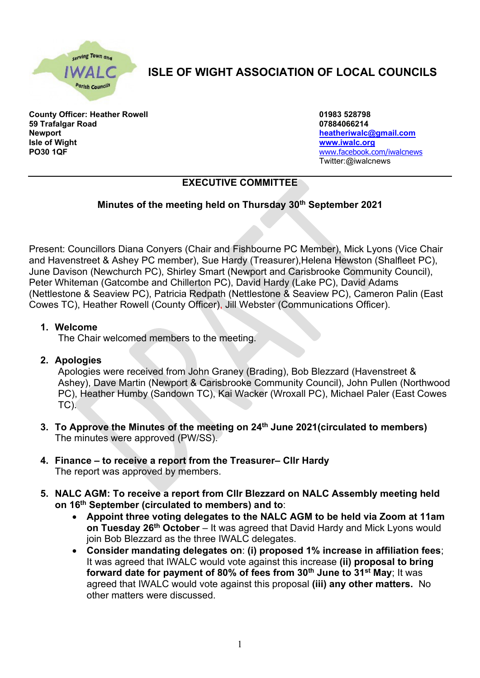

# **ISLE OF WIGHT ASSOCIATION OF LOCAL COUNCILS**

**County Officer: Heather Rowell 01983 528798 59 Trafalgar Road 07884066214 Newport [heatheriwalc@gmail.com](mailto:heatheriwalc@gmail.com) Isle of Wight [www.iwalc.org](http://www.iwalc.org/) PO30 1QF** [www.facebook.com/iwalcnews](http://www.facebook.com/iwalcnews)

Twitter:@iwalcnews

# **EXECUTIVE COMMITTEE**

## **Minutes of the meeting held on Thursday 30th September 2021**

Present: Councillors Diana Conyers (Chair and Fishbourne PC Member), Mick Lyons (Vice Chair and Havenstreet & Ashey PC member), Sue Hardy (Treasurer),Helena Hewston (Shalfleet PC), June Davison (Newchurch PC), Shirley Smart (Newport and Carisbrooke Community Council), Peter Whiteman (Gatcombe and Chillerton PC), David Hardy (Lake PC), David Adams (Nettlestone & Seaview PC), Patricia Redpath (Nettlestone & Seaview PC), Cameron Palin (East Cowes TC), Heather Rowell (County Officer), Jill Webster (Communications Officer).

#### **1. Welcome**

The Chair welcomed members to the meeting.

### **2. Apologies**

Apologies were received from John Graney (Brading), Bob Blezzard (Havenstreet & Ashey), Dave Martin (Newport & Carisbrooke Community Council), John Pullen (Northwood PC), Heather Humby (Sandown TC), Kai Wacker (Wroxall PC), Michael Paler (East Cowes TC).

- **3. To Approve the Minutes of the meeting on 24 th June 2021(circulated to members)** The minutes were approved (PW/SS).
- **4. Finance – to receive a report from the Treasurer– Cllr Hardy** The report was approved by members.
- **5. NALC AGM: To receive a report from Cllr Blezzard on NALC Assembly meeting held on 16th September (circulated to members) and to**:
	- **Appoint three voting delegates to the NALC AGM to be held via Zoom at 11am on Tuesday 26th October** – It was agreed that David Hardy and Mick Lyons would join Bob Blezzard as the three IWALC delegates.
	- **Consider mandating delegates on**: **(i) proposed 1% increase in affiliation fees**; It was agreed that IWALC would vote against this increase **(ii) proposal to bring forward date for payment of 80% of fees from 30th June to 31st May**; It was agreed that IWALC would vote against this proposal **(iii) any other matters.** No other matters were discussed.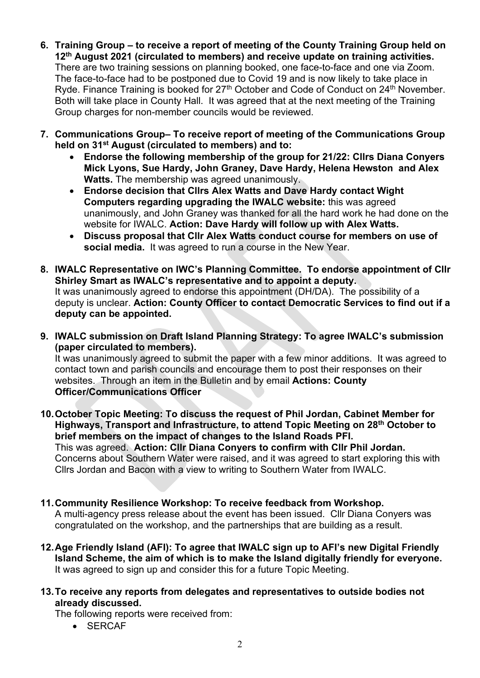- **6. Training Group – to receive a report of meeting of the County Training Group held on 12th August 2021 (circulated to members) and receive update on training activities.** There are two training sessions on planning booked, one face-to-face and one via Zoom. The face-to-face had to be postponed due to Covid 19 and is now likely to take place in Ryde. Finance Training is booked for  $27<sup>th</sup>$  October and Code of Conduct on  $24<sup>th</sup>$  November. Both will take place in County Hall. It was agreed that at the next meeting of the Training Group charges for non-member councils would be reviewed.
- **7. Communications Group– To receive report of meeting of the Communications Group held on 31st August (circulated to members) and to:** 
	- **Endorse the following membership of the group for 21/22: Cllrs Diana Conyers Mick Lyons, Sue Hardy, John Graney, Dave Hardy, Helena Hewston and Alex Watts.** The membership was agreed unanimously.
	- **Endorse decision that Cllrs Alex Watts and Dave Hardy contact Wight Computers regarding upgrading the IWALC website:** this was agreed unanimously, and John Graney was thanked for all the hard work he had done on the website for IWALC. **Action: Dave Hardy will follow up with Alex Watts.**
	- **Discuss proposal that Cllr Alex Watts conduct course for members on use of social media.** It was agreed to run a course in the New Year.
- **8. IWALC Representative on IWC's Planning Committee. To endorse appointment of Cllr Shirley Smart as IWALC's representative and to appoint a deputy.**  It was unanimously agreed to endorse this appointment (DH/DA). The possibility of a deputy is unclear. **Action: County Officer to contact Democratic Services to find out if a deputy can be appointed.**
- **9. IWALC submission on Draft Island Planning Strategy: To agree IWALC's submission (paper circulated to members).**  It was unanimously agreed to submit the paper with a few minor additions. It was agreed to contact town and parish councils and encourage them to post their responses on their

websites. Through an item in the Bulletin and by email **Actions: County Officer/Communications Officer**

- **10.October Topic Meeting: To discuss the request of Phil Jordan, Cabinet Member for Highways, Transport and Infrastructure, to attend Topic Meeting on 28th October to brief members on the impact of changes to the Island Roads PFI.**  This was agreed. **Action: Cllr Diana Conyers to confirm with Cllr Phil Jordan.**  Concerns about Southern Water were raised, and it was agreed to start exploring this with Cllrs Jordan and Bacon with a view to writing to Southern Water from IWALC.
- **11.Community Resilience Workshop: To receive feedback from Workshop.**

A multi-agency press release about the event has been issued. Cllr Diana Conyers was congratulated on the workshop, and the partnerships that are building as a result.

- **12.Age Friendly Island (AFI): To agree that IWALC sign up to AFI's new Digital Friendly Island Scheme, the aim of which is to make the Island digitally friendly for everyone.** It was agreed to sign up and consider this for a future Topic Meeting.
- **13.To receive any reports from delegates and representatives to outside bodies not already discussed.**

The following reports were received from:

• SERCAF